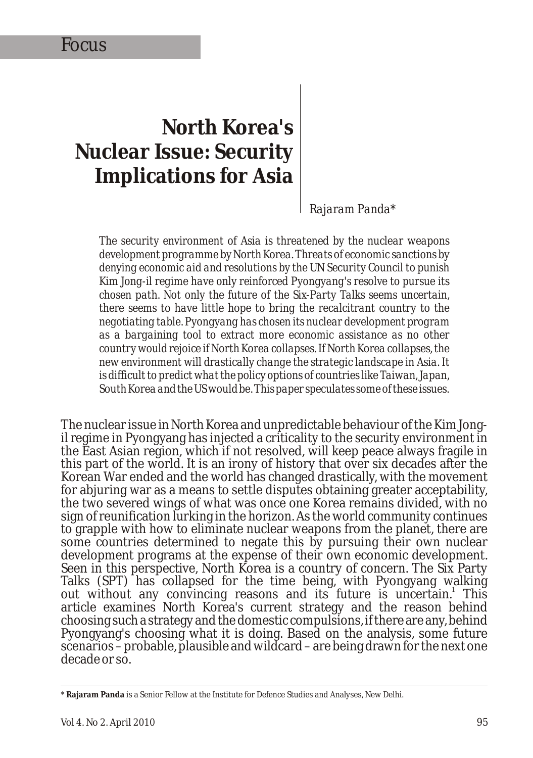# **North Korea's Nuclear Issue: Security Implications for Asia**

*Rajaram Panda\**

*The security environment of Asia is threatened by the nuclear weapons development programme by North Korea. Threats of economic sanctions by denying economic aid and resolutions by the UN Security Council to punish Kim Jong-il regime have only reinforced Pyongyang's resolve to pursue its chosen path. Not only the future of the Six-Party Talks seems uncertain, there seems to have little hope to bring the recalcitrant country to the negotiating table. Pyongyang has chosen its nuclear development program as a bargaining tool to extract more economic assistance as no other country would rejoice if North Korea collapses. If North Korea collapses, the new environment will drastically change the strategic landscape in Asia. It is difficult to predict what the policy options of countries like Taiwan, Japan, South Korea and the US would be. This paper speculates some of these issues.*

The nuclear issue in North Korea and unpredictable behaviour of the Kim Jongil regime in Pyongyang has injected a criticality to the security environment in the East Asian region, which if not resolved, will keep peace always fragile in this part of the world. It is an irony of history that over six decades after the Korean War ended and the world has changed drastically, with the movement for abjuring war as a means to settle disputes obtaining greater acceptability, the two severed wings of what was once one Korea remains divided, with no sign of reunification lurking in the horizon. As the world community continues to grapple with how to eliminate nuclear weapons from the planet, there are some countries determined to negate this by pursuing their own nuclear development programs at the expense of their own economic development. Seen in this perspective, North Korea is a country of concern. The Six Party Talks (SPT) has collapsed for the time being, with Pyongyang walking out without any convincing reasons and its future is uncertain.<sup>1</sup> This article examines North Korea's current strategy and the reason behind choosing such a strategy and the domestic compulsions, if there are any, behind Pyongyang's choosing what it is doing. Based on the analysis, some future scenarios – probable, plausible and wildcard – are being drawn for the next one decade or so.

<sup>\*</sup> **Rajaram Panda** is a Senior Fellow at the Institute for Defence Studies and Analyses, New Delhi.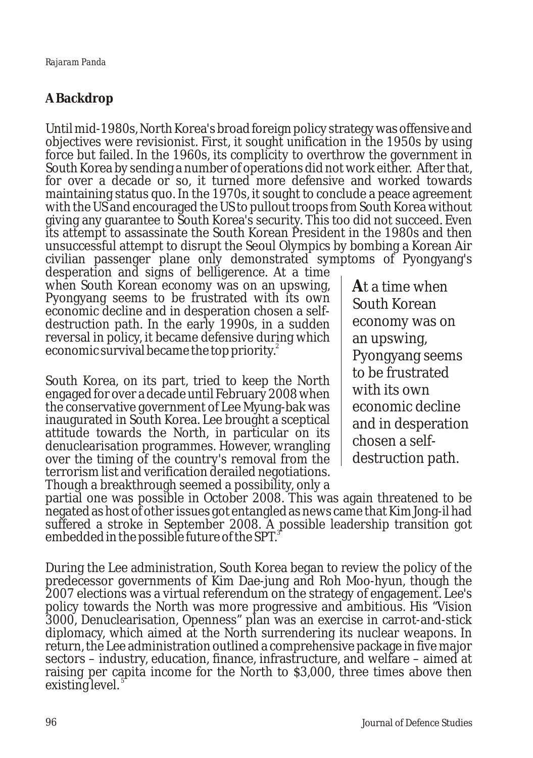# **A Backdrop**

Until mid-1980s, North Korea's broad foreign policy strategy was offensive and objectives were revisionist. First, it sought unification in the 1950s by using force but failed. In the 1960s, its complicity to overthrow the government in South Korea by sending a number of operations did not work either. After that, for over a decade or so, it turned more defensive and worked towards maintaining status quo. In the 1970s, it sought to conclude a peace agreement with the US and encouraged the US to pullout troops from South Korea without giving any guarantee to South Korea's security. This too did not succeed. Even its attempt to assassinate the South Korean President in the 1980s and then unsuccessful attempt to disrupt the Seoul Olympics by bombing a Korean Air civilian passenger plane only demonstrated symptoms of Pyongyang's

desperation and signs of belligerence. At a time when South Korean economy was on an upswing, Pyongyang seems to be frustrated with its own economic decline and in desperation chosen a selfdestruction path. In the early 1990s, in a sudden reversal in policy, it became defensive during which economic survival became the top priority.<sup>2</sup>

South Korea, on its part, tried to keep the North engaged for over a decade until February 2008 when the conservative government of Lee Myung-bak was inaugurated in South Korea. Lee brought a sceptical attitude towards the North, in particular on its denuclearisation programmes. However, wrangling over the timing of the country's removal from the terrorism list and verification derailed negotiations. Though a breakthrough seemed a possibility, only a

**A**t a time when South Korean economy was on an upswing, Pyongyang seems to be frustrated with its own economic decline and in desperation chosen a selfdestruction path.

partial one was possible in October 2008. This was again threatened to be negated as host of other issues got entangled as news came that Kim Jong-il had suffered a stroke in September 2008. A possible leadership transition got embedded in the possible future of the SPT.<sup>3</sup>

During the Lee administration, South Korea began to review the policy of the predecessor governments of Kim Dae-jung and Roh Moo-hyun, though the 2007 elections was a virtual referendum on the strategy of engagement. Lee's policy towards the North was more progressive and ambitious. His "Vision 3000, Denuclearisation, Openness" plan was an exercise in carrot-and-stick diplomacy, which aimed at the North surrendering its nuclear weapons. In return, the Lee administration outlined a comprehensive package in five major sectors – industry, education, finance, infrastructure, and welfare – aimed at raising per capita income for the North to \$3,000, three times above then 5 existing level.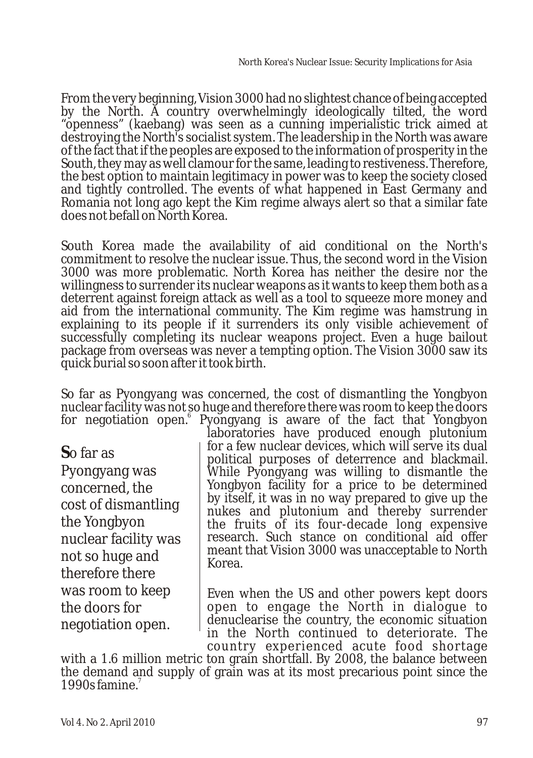From the very beginning, Vision 3000 had no slightest chance of being accepted by the North. A country overwhelmingly ideologically tilted, the word "openness" (kaebang) was seen as a cunning imperialistic trick aimed at destroying the North's socialist system. The leadership in the North was aware of the fact that if the peoples are exposed to the information of prosperity in the South, they may as well clamour for the same, leading to restiveness. Therefore, the best option to maintain legitimacy in power was to keep the society closed and tightly controlled. The events of what happened in East Germany and Romania not long ago kept the Kim regime always alert so that a similar fate does not befall on North Korea.

South Korea made the availability of aid conditional on the North's commitment to resolve the nuclear issue. Thus, the second word in the Vision 3000 was more problematic. North Korea has neither the desire nor the willingness to surrender its nuclear weapons as it wants to keep them both as a deterrent against foreign attack as well as a tool to squeeze more money and aid from the international community. The Kim regime was hamstrung in explaining to its people if it surrenders its only visible achievement of successfully completing its nuclear weapons project. Even a huge bailout package from overseas was never a tempting option. The Vision 3000 saw its quick burial so soon after it took birth.

So far as Pyongyang was concerned, the cost of dismantling the Yongbyon nuclear facility was not so huge and therefore there was room to keep the doors for negotiation open.<sup>6</sup> Pyongyang is aware of the fact that Yongbyon

**S**o far as

Pyongyang was concerned, the cost of dismantling the Yongbyon nuclear facility was not so huge and therefore there was room to keep the doors for negotiation open.

laboratories have produced enough plutonium for a few nuclear devices, which will serve its dual political purposes of deterrence and blackmail. While Pyongyang was willing to dismantle the Yongbyon facility for a price to be determined by itself, it was in no way prepared to give up the nukes and plutonium and thereby surrender the fruits of its four-decade long expensive research. Such stance on conditional aid offer meant that Vision 3000 was unacceptable to North Korea.

Even when the US and other powers kept doors open to engage the North in dialogue to denuclearise the country, the economic situation in the North continued to deteriorate. The country experienced acute food shortage

with a 1.6 million metric ton grain shortfall. By 2008, the balance between the demand and supply of grain was at its most precarious point since the 1990s famine.<sup>7</sup>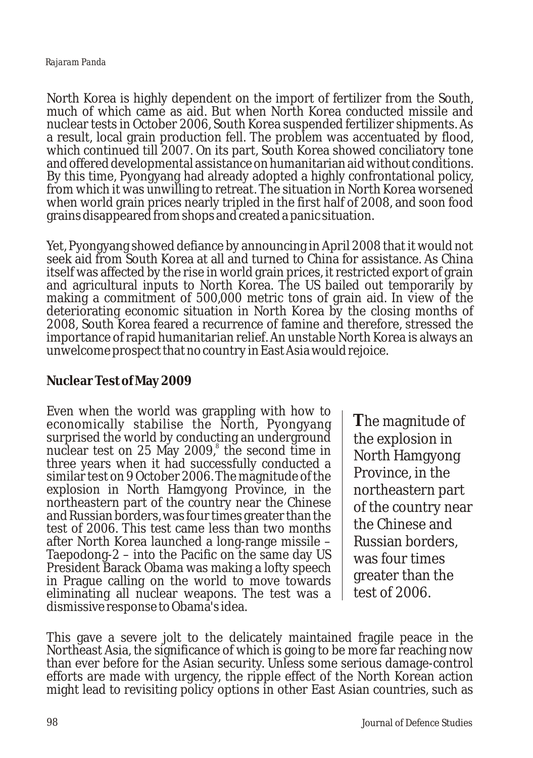North Korea is highly dependent on the import of fertilizer from the South, much of which came as aid. But when North Korea conducted missile and nuclear tests in October 2006, South Korea suspended fertilizer shipments. As a result, local grain production fell. The problem was accentuated by flood, which continued till 2007. On its part, South Korea showed conciliatory tone and offered developmental assistance on humanitarian aid without conditions. By this time, Pyongyang had already adopted a highly confrontational policy, from which it was unwilling to retreat. The situation in North Korea worsened when world grain prices nearly tripled in the first half of 2008, and soon food grains disappeared from shops and created a panic situation.

Yet, Pyongyang showed defiance by announcing in April 2008 that it would not seek aid from South Korea at all and turned to China for assistance. As China itself was affected by the rise in world grain prices, it restricted export of grain and agricultural inputs to North Korea. The US bailed out temporarily by making a commitment of 500,000 metric tons of grain aid. In view of the deteriorating economic situation in North Korea by the closing months of 2008, South Korea feared a recurrence of famine and therefore, stressed the importance of rapid humanitarian relief. An unstable North Korea is always an unwelcome prospect that no country in East Asia would rejoice.

### **Nuclear Test of May 2009**

Even when the world was grappling with how to economically stabilise the North, Pyongyang surprised the world by conducting an underground nuclear test on 25 May 2009,<sup>8</sup> the second time in three years when it had successfully conducted a similar test on 9 October 2006. The magnitude of the explosion in North Hamgyong Province, in the northeastern part of the country near the Chinese and Russian borders, was four times greater than the test of 2006. This test came less than two months after North Korea launched a long-range missile – Taepodong-2 – into the Pacific on the same day US President Barack Obama was making a lofty speech in Prague calling on the world to move towards eliminating all nuclear weapons. The test was a dismissive response to Obama's idea.

**T**he magnitude of the explosion in North Hamgyong Province, in the northeastern part of the country near the Chinese and Russian borders, was four times greater than the test of 2006.

This gave a severe jolt to the delicately maintained fragile peace in the Northeast Asia, the significance of which is going to be more far reaching now than ever before for the Asian security. Unless some serious damage-control efforts are made with urgency, the ripple effect of the North Korean action might lead to revisiting policy options in other East Asian countries, such as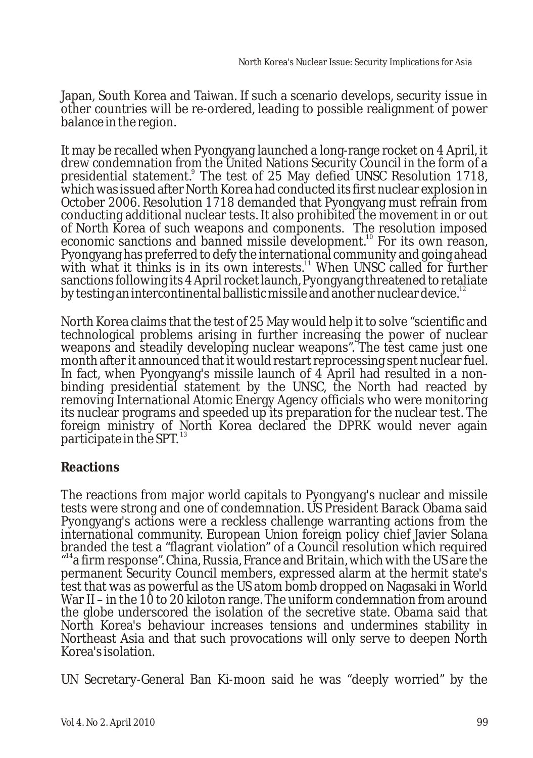Japan, South Korea and Taiwan. If such a scenario develops, security issue in other countries will be re-ordered, leading to possible realignment of power balance in the region.

It may be recalled when Pyongyang launched a long-range rocket on 4 April, it drew condemnation from the United Nations Security Council in the form of a presidential statement.<sup>9</sup> The test of 25 May defied UNSC Resolution 1718, which was issued after North Korea had conducted its first nuclear explosion in October 2006. Resolution 1718 demanded that Pyongyang must refrain from conducting additional nuclear tests. It also prohibited the movement in or out of North Korea of such weapons and components. The resolution imposed economic sanctions and banned missile development.<sup>10</sup> For its own reason, Pyongyang has preferred to defy the international community and going ahead with what it thinks is in its own interests.<sup>11</sup> When UNSC called for further sanctions following its 4 April rocket launch, Pyongyang threatened to retaliate by testing an intercontinental ballistic missile and another nuclear device.<sup>12</sup>

North Korea claims that the test of 25 May would help it to solve "scientific and technological problems arising in further increasing the power of nuclear weapons and steadily developing nuclear weapons". The test came just one month after it announced that it would restart reprocessing spent nuclear fuel. In fact, when Pyongyang's missile launch of 4 April had resulted in a nonbinding presidential statement by the UNSC, the North had reacted by removing International Atomic Energy Agency officials who were monitoring its nuclear programs and speeded up its preparation for the nuclear test. The foreign ministry of North Korea declared the DPRK would never again participate in the SPT.<sup>13</sup>

# **Reactions**

The reactions from major world capitals to Pyongyang's nuclear and missile tests were strong and one of condemnation. US President Barack Obama said Pyongyang's actions were a reckless challenge warranting actions from the international community. European Union foreign policy chief Javier Solana branded the test a "flagrant violation" of a Council resolution which required "<sup>14</sup> a firm response". China, Russia, France and Britain, which with the US are the permanent Security Council members, expressed alarm at the hermit state's test that was as powerful as the US atom bomb dropped on Nagasaki in World War II – in the 10 to 20 kiloton range. The uniform condemnation from around the globe underscored the isolation of the secretive state. Obama said that North Korea's behaviour increases tensions and undermines stability in Northeast Asia and that such provocations will only serve to deepen North Korea's isolation.

UN Secretary-General Ban Ki-moon said he was "deeply worried" by the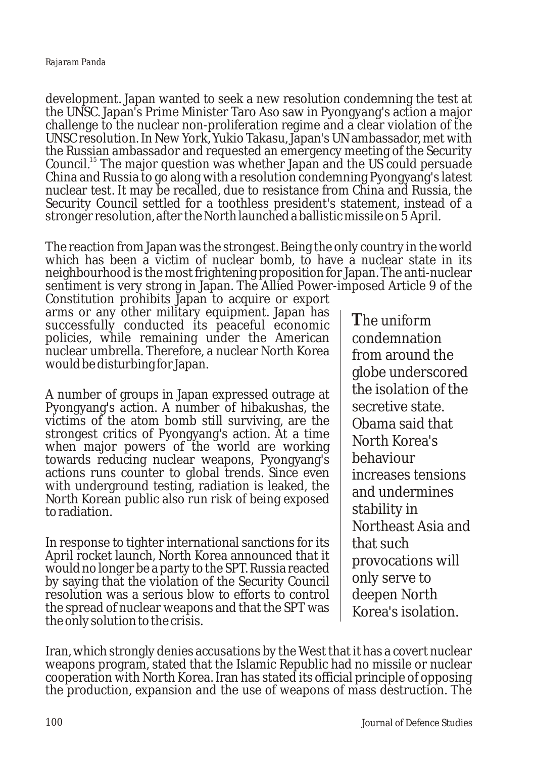development. Japan wanted to seek a new resolution condemning the test at the UNSC. Japan's Prime Minister Taro Aso saw in Pyongyang's action a major challenge to the nuclear non-proliferation regime and a clear violation of the UNSC resolution. In New York, Yukio Takasu, Japan's UN ambassador, met with the Russian ambassador and requested an emergency meeting of the Security Council.<sup>15</sup> The major question was whether Japan and the US could persuade China and Russia to go along with a resolution condemning Pyongyang's latest nuclear test. It may be recalled, due to resistance from China and Russia, the Security Council settled for a toothless president's statement, instead of a stronger resolution, after the North launched a ballistic missile on 5 April.

The reaction from Japan was the strongest. Being the only country in the world which has been a victim of nuclear bomb, to have a nuclear state in its neighbourhood is the most frightening proposition for Japan. The anti-nuclear sentiment is very strong in Japan. The Allied Power-imposed Article 9 of the

Constitution prohibits Japan to acquire or export arms or any other military equipment. Japan has successfully conducted its peaceful economic policies, while remaining under the American nuclear umbrella. Therefore, a nuclear North Korea would be disturbing for Japan.

A number of groups in Japan expressed outrage at Pyongyang's action. A number of hibakushas, the victims of the atom bomb still surviving, are the strongest critics of Pyongyang's action. At a time when major powers of the world are working towards reducing nuclear weapons, Pyongyang's actions runs counter to global trends. Since even with underground testing, radiation is leaked, the North Korean public also run risk of being exposed to radiation.

In response to tighter international sanctions for its April rocket launch, North Korea announced that it would no longer be a party to the SPT. Russia reacted by saying that the violation of the Security Council resolution was a serious blow to efforts to control the spread of nuclear weapons and that the SPT was the only solution to the crisis.

**T**he uniform condemnation from around the globe underscored the isolation of the secretive state. Obama said that North Korea's behaviour increases tensions and undermines stability in Northeast Asia and that such provocations will only serve to deepen North Korea's isolation.

Iran, which strongly denies accusations by the West that it has a covert nuclear weapons program, stated that the Islamic Republic had no missile or nuclear cooperation with North Korea. Iran has stated its official principle of opposing the production, expansion and the use of weapons of mass destruction. The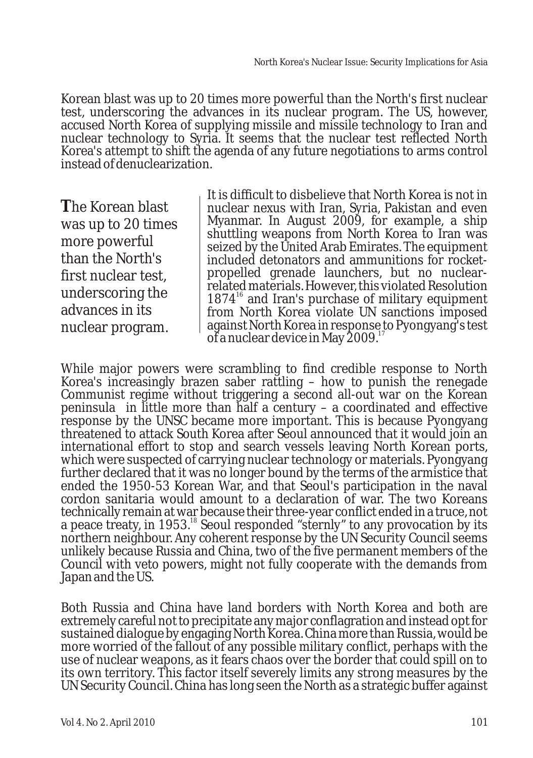Korean blast was up to 20 times more powerful than the North's first nuclear test, underscoring the advances in its nuclear program. The US, however, accused North Korea of supplying missile and missile technology to Iran and nuclear technology to Syria. It seems that the nuclear test reflected North Korea's attempt to shift the agenda of any future negotiations to arms control instead of denuclearization.

**T**he Korean blast was up to 20 times more powerful than the North's first nuclear test, underscoring the advances in its nuclear program.

It is difficult to disbelieve that North Korea is not in nuclear nexus with Iran, Syria, Pakistan and even Myanmar. In August 2009, for example, a ship shuttling weapons from North Korea to Iran was seized by the United Arab Emirates. The equipment included detonators and ammunitions for rocketpropelled grenade launchers, but no nuclearrelated materials. However, this violated Resolution  $1874<sup>16</sup>$  and Iran's purchase of military equipment from North Korea violate UN sanctions imposed against North Korea in response to Pyongyang's test of a nuclear device in May  $2009$ .<sup>17</sup>

While major powers were scrambling to find credible response to North Korea's increasingly brazen saber rattling – how to punish the renegade Communist regime without triggering a second all-out war on the Korean peninsula in little more than half a century – a coordinated and effective response by the UNSC became more important. This is because Pyongyang threatened to attack South Korea after Seoul announced that it would join an international effort to stop and search vessels leaving North Korean ports, which were suspected of carrying nuclear technology or materials. Pyongyang further declared that it was no longer bound by the terms of the armistice that ended the 1950-53 Korean War, and that Seoul's participation in the naval cordon sanitaria would amount to a declaration of war. The two Koreans technically remain at war because their three-year conflict ended in a truce, not a peace treaty, in 1953.<sup>18</sup> Seoul responded "sternly" to any provocation by its northern neighbour. Any coherent response by the UN Security Council seems unlikely because Russia and China, two of the five permanent members of the Council with veto powers, might not fully cooperate with the demands from Japan and the US.

Both Russia and China have land borders with North Korea and both are extremely careful not to precipitate any major conflagration and instead opt for sustained dialogue by engaging North Korea. China more than Russia, would be more worried of the fallout of any possible military conflict, perhaps with the use of nuclear weapons, as it fears chaos over the border that could spill on to its own territory. This factor itself severely limits any strong measures by the UN Security Council. China has long seen the North as a strategic buffer against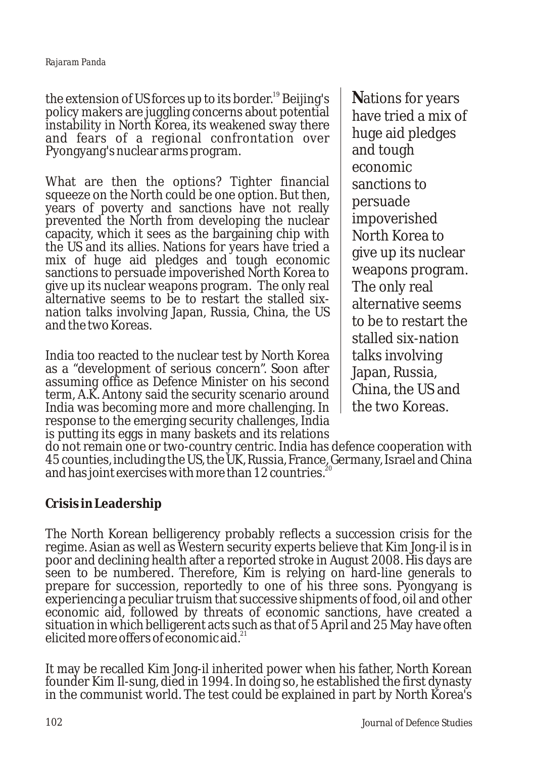the extension of US forces up to its border.<sup>19</sup> Beijing's policy makers are juggling concerns about potential instability in North Korea, its weakened sway there and fears of a regional confrontation over Pyongyang's nuclear arms program.

What are then the options? Tighter financial squeeze on the North could be one option. But then, years of poverty and sanctions have not really prevented the North from developing the nuclear capacity, which it sees as the bargaining chip with the US and its allies. Nations for years have tried a mix of huge aid pledges and tough economic sanctions to persuade impoverished North Korea to give up its nuclear weapons program. The only real alternative seems to be to restart the stalled sixnation talks involving Japan, Russia, China, the US and the two Koreas.

India too reacted to the nuclear test by North Korea as a "development of serious concern". Soon after assuming office as Defence Minister on his second term, A.K. Antony said the security scenario around India was becoming more and more challenging. In response to the emerging security challenges, India is putting its eggs in many baskets and its relations **N**ations for years have tried a mix of huge aid pledges and tough economic sanctions to persuade impoverished North Korea to give up its nuclear weapons program. The only real alternative seems to be to restart the stalled six-nation talks involving Japan, Russia, China, the US and the two Koreas.

do not remain one or two-country centric. India has defence cooperation with 45 counties, including the US, the UK, Russia, France, Germany, Israel and China and has joint exercises with more than 12 countries.

# **Crisis in Leadership**

The North Korean belligerency probably reflects a succession crisis for the regime. Asian as well as Western security experts believe that Kim Jong-il is in poor and declining health after a reported stroke in August 2008. His days are seen to be numbered. Therefore, Kim is relying on hard-line generals to prepare for succession, reportedly to one of his three sons. Pyongyang is experiencing a peculiar truism that successive shipments of food, oil and other economic aid, followed by threats of economic sanctions, have created a situation in which belligerent acts such as that of 5 April and 25 May have often elicited more offers of economic aid. $2^2$ 

It may be recalled Kim Jong-il inherited power when his father, North Korean founder Kim Il-sung, died in 1994. In doing so, he established the first dynasty in the communist world. The test could be explained in part by North Korea's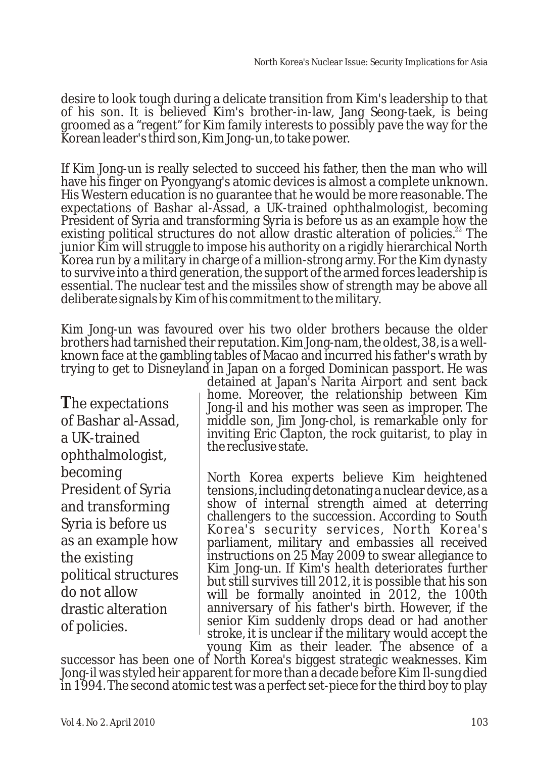desire to look tough during a delicate transition from Kim's leadership to that of his son. It is believed Kim's brother-in-law, Jang Seong-taek, is being groomed as a "regent" for Kim family interests to possibly pave the way for the Korean leader's third son, Kim Jong-un, to take power.

If Kim Jong-un is really selected to succeed his father, then the man who will have his finger on Pyongyang's atomic devices is almost a complete unknown. His Western education is no guarantee that he would be more reasonable. The expectations of Bashar al-Assad, a UK-trained ophthalmologist, becoming President of Syria and transforming Syria is before us as an example how the existing political structures do not allow drastic alteration of policies.<sup>22</sup> The junior Kim will struggle to impose his authority on a rigidly hierarchical North Korea run by a military in charge of a million-strong army. For the Kim dynasty to survive into a third generation, the support of the armed forces leadership is essential. The nuclear test and the missiles show of strength may be above all deliberate signals by Kim of his commitment to the military.

Kim Jong-un was favoured over his two older brothers because the older brothers had tarnished their reputation. Kim Jong-nam, the oldest, 38, is a wellknown face at the gambling tables of Macao and incurred his father's wrath by trying to get to Disneyland in Japan on a forged Dominican passport. He was

**T**he expectations of Bashar al-Assad, a UK-trained ophthalmologist, becoming President of Syria and transforming Syria is before us as an example how the existing political structures do not allow drastic alteration of policies.

detained at Japan's Narita Airport and sent back home. Moreover, the relationship between Kim Jong-il and his mother was seen as improper. The middle son, Jim Jong-chol, is remarkable only for inviting Eric Clapton, the rock guitarist, to play in the reclusive state.

North Korea experts believe Kim heightened tensions, including detonating a nuclear device, as a show of internal strength aimed at deterring challengers to the succession. According to South Korea's security services, North Korea's parliament, military and embassies all received instructions on 25 May 2009 to swear allegiance to Kim Jong-un. If Kim's health deteriorates further but still survives till 2012, it is possible that his son will be formally anointed in 2012, the 100th anniversary of his father's birth. However, if the senior Kim suddenly drops dead or had another stroke, it is unclear if the military would accept the young Kim as their leader. The absence of a

successor has been one of North Korea's biggest strategic weaknesses. Kim Jong-il was styled heir apparent for more than a decade before Kim Il-sung died in 1994. The second atomic test was a perfect set-piece for the third boy to play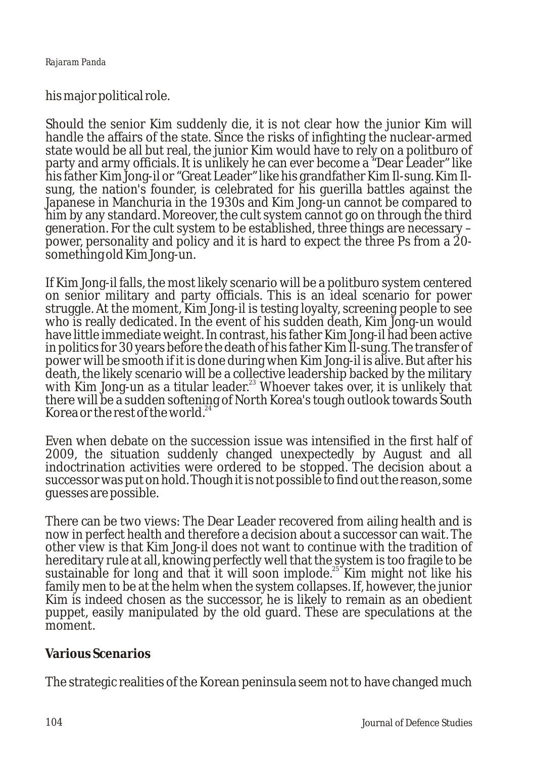his major political role.

Should the senior Kim suddenly die, it is not clear how the junior Kim will handle the affairs of the state. Since the risks of infighting the nuclear-armed state would be all but real, the junior Kim would have to rely on a politburo of party and army officials. It is unlikely he can ever become a "Dear Leader" like his father Kim Jong-il or "Great Leader" like his grandfather Kim Il-sung. Kim Ilsung, the nation's founder, is celebrated for his guerilla battles against the Japanese in Manchuria in the 1930s and Kim Jong-un cannot be compared to him by any standard. Moreover, the cult system cannot go on through the third generation. For the cult system to be established, three things are necessary – power, personality and policy and it is hard to expect the three Ps from a 20 something old Kim Jong-un.

If Kim Jong-il falls, the most likely scenario will be a politburo system centered on senior military and party officials. This is an ideal scenario for power struggle. At the moment, Kim Jong-il is testing loyalty, screening people to see who is really dedicated. In the event of his sudden death, Kim Jong-un would have little immediate weight. In contrast, his father Kim Jong-il had been active in politics for 30 years before the death of his father Kim Il-sung. The transfer of power will be smooth if it is done during when Kim Jong-il is alive. But after his death, the likely scenario will be a collective leadership backed by the military with Kim Jong-un as a titular leader.<sup>23</sup> Whoever takes over, it is unlikely that there will be a sudden softening of North Korea's tough outlook towards South Korea or the rest of the world.<sup>24</sup>

Even when debate on the succession issue was intensified in the first half of 2009, the situation suddenly changed unexpectedly by August and all indoctrination activities were ordered to be stopped. The decision about a successor was put on hold. Though it is not possible to find out the reason, some guesses are possible.

There can be two views: The Dear Leader recovered from ailing health and is now in perfect health and therefore a decision about a successor can wait. The other view is that Kim Jong-il does not want to continue with the tradition of hereditary rule at all, knowing perfectly well that the system is too fragile to be sustainable for long and that it will soon implode.<sup>25</sup> Kim might not like his family men to be at the helm when the system collapses. If, however, the junior Kim is indeed chosen as the successor, he is likely to remain as an obedient puppet, easily manipulated by the old guard. These are speculations at the moment.

# **Various Scenarios**

The strategic realities of the Korean peninsula seem not to have changed much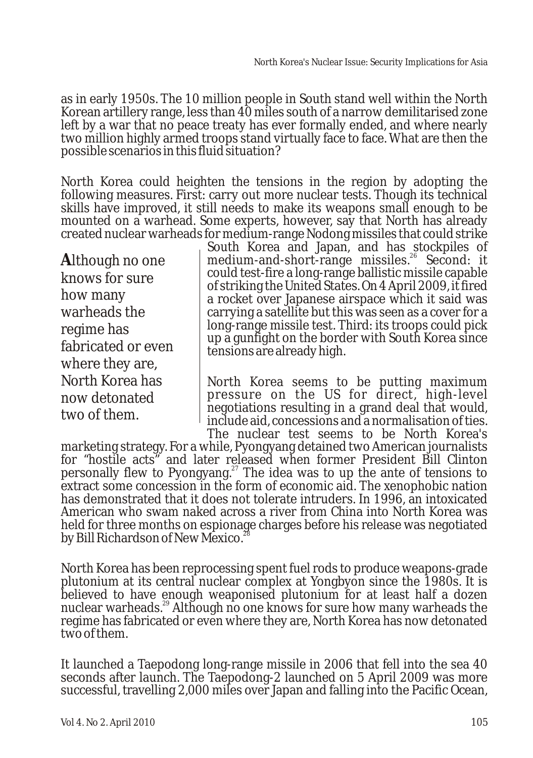as in early 1950s. The 10 million people in South stand well within the North Korean artillery range, less than 40 miles south of a narrow demilitarised zone left by a war that no peace treaty has ever formally ended, and where nearly two million highly armed troops stand virtually face to face. What are then the possible scenarios in this fluid situation?

North Korea could heighten the tensions in the region by adopting the following measures. First: carry out more nuclear tests. Though its technical skills have improved, it still needs to make its weapons small enough to be mounted on a warhead. Some experts, however, say that North has already created nuclear warheads for medium-range Nodong missiles that could strike

**A**lthough no one knows for sure how many warheads the regime has fabricated or even where they are, North Korea has now detonated two of them.

South Korea and Japan, and has stockpiles of medium-and-short-range missiles.<sup>26</sup> Second: it could test-fire a long-range ballistic missile capable of striking the United States. On 4 April 2009, it fired a rocket over Japanese airspace which it said was carrying a satellite but this was seen as a cover for a long-range missile test. Third: its troops could pick up a gunfight on the border with South Korea since tensions are already high.

North Korea seems to be putting maximum pressure on the US for direct, high-level negotiations resulting in a grand deal that would, include aid, concessions and a normalisation of ties. The nuclear test seems to be North Korea's

marketing strategy. For a while, Pyongyang detained two American journalists for "hostile acts" and later released when former President Bill Clinton personally flew to Pyongyang.<sup>27</sup> The idea was to up the ante of tensions to extract some concession in the form of economic aid. The xenophobic nation has demonstrated that it does not tolerate intruders. In 1996, an intoxicated American who swam naked across a river from China into North Korea was held for three months on espionage charges before his release was negotiated by Bill Richardson of New Mexico.

North Korea has been reprocessing spent fuel rods to produce weapons-grade plutonium at its central nuclear complex at Yongbyon since the 1980s. It is believed to have enough weaponised plutonium for at least half a dozen nuclear warheads.<sup>29</sup> Although no one knows for sure how many warheads the regime has fabricated or even where they are, North Korea has now detonated two of them.

It launched a Taepodong long-range missile in 2006 that fell into the sea 40 seconds after launch. The Taepodong-2 launched on 5 April 2009 was more successful, travelling 2,000 miles over Japan and falling into the Pacific Ocean,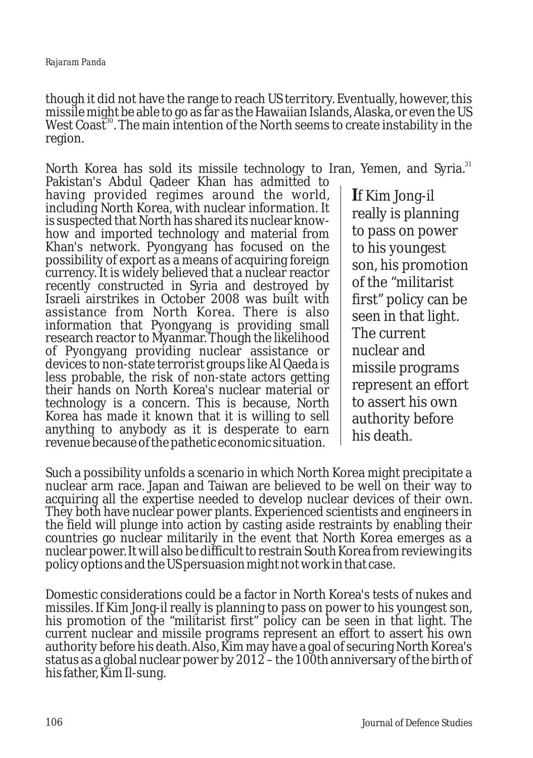though it did not have the range to reach US territory. Eventually, however, this missile might be able to go as far as the Hawaiian Islands, Alaska, or even the US West Coast<sup>30</sup>. The main intention of the North seems to create instability in the region.

North Korea has sold its missile technology to Iran, Yemen, and Syria.<sup>31</sup>

Pakistan's Abdul Qadeer Khan has admitted to having provided regimes around the world, including North Korea, with nuclear information. It is suspected that North has shared its nuclear knowhow and imported technology and material from Khan's network. Pyongyang has focused on the possibility of export as a means of acquiring foreign currency. It is widely believed that a nuclear reactor recently constructed in Syria and destroyed by Israeli airstrikes in October 2008 was built with assistance from North Korea. There is also information that Pyongyang is providing small research reactor to Myanmar. Though the likelihood of Pyongyang providing nuclear assistance or devices to non-state terrorist groups like Al Qaeda is less probable, the risk of non-state actors getting their hands on North Korea's nuclear material or technology is a concern. This is because, North Korea has made it known that it is willing to sell anything to anybody as it is desperate to earn revenue because of the pathetic economic situation.

**I**f Kim Jong-il really is planning to pass on power to his youngest son, his promotion of the "militarist first" policy can be seen in that light. The current nuclear and missile programs represent an effort to assert his own authority before his death.

Such a possibility unfolds a scenario in which North Korea might precipitate a nuclear arm race. Japan and Taiwan are believed to be well on their way to acquiring all the expertise needed to develop nuclear devices of their own. They both have nuclear power plants. Experienced scientists and engineers in the field will plunge into action by casting aside restraints by enabling their countries go nuclear militarily in the event that North Korea emerges as a nuclear power. It will also be difficult to restrain South Korea from reviewing its policy options and the US persuasion might not work in that case.

Domestic considerations could be a factor in North Korea's tests of nukes and missiles. If Kim Jong-il really is planning to pass on power to his youngest son, his promotion of the "militarist first" policy can be seen in that light. The current nuclear and missile programs represent an effort to assert his own authority before his death. Also, Kim may have a goal of securing North Korea's status as a global nuclear power by 2012 – the 100th anniversary of the birth of his father, Kim Il-sung.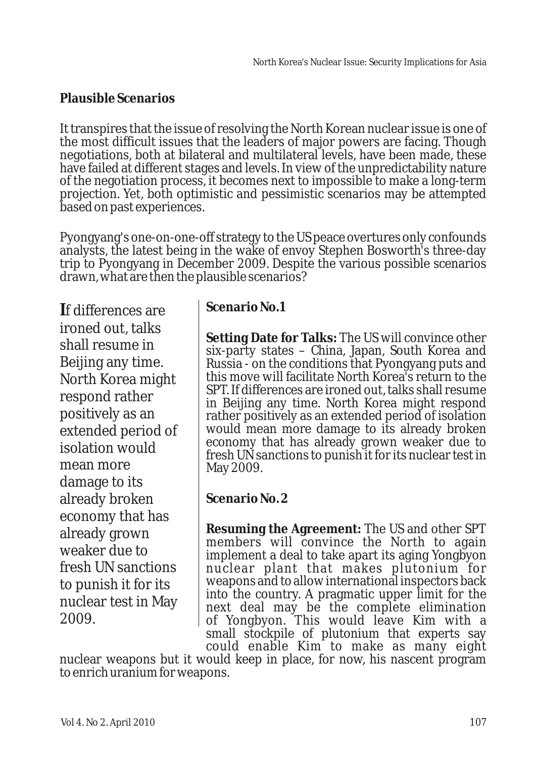# **Plausible Scenarios**

It transpires that the issue of resolving the North Korean nuclear issue is one of the most difficult issues that the leaders of major powers are facing. Though negotiations, both at bilateral and multilateral levels, have been made, these have failed at different stages and levels. In view of the unpredictability nature of the negotiation process, it becomes next to impossible to make a long-term projection. Yet, both optimistic and pessimistic scenarios may be attempted based on past experiences.

Pyongyang's one-on-one-off strategy to the US peace overtures only confounds analysts, the latest being in the wake of envoy Stephen Bosworth's three-day trip to Pyongyang in December 2009. Despite the various possible scenarios drawn, what are then the plausible scenarios?

**I**f differences are ironed out, talks shall resume in Beijing any time. North Korea might respond rather positively as an extended period of isolation would mean more damage to its already broken economy that has already grown weaker due to fresh UN sanctions to punish it for its nuclear test in May 2009.

# **Scenario No.1**

**Setting Date for Talks:** The US will convince other six-party states – China, Japan, South Korea and Russia - on the conditions that Pyongyang puts and this move will facilitate North Korea's return to the SPT. If differences are ironed out, talks shall resume in Beijing any time. North Korea might respond rather positively as an extended period of isolation would mean more damage to its already broken economy that has already grown weaker due to fresh UN sanctions to punish it for its nuclear test in May 2009.

**Scenario No. 2**

**Resuming the Agreement:** The US and other SPT members will convince the North to again implement a deal to take apart its aging Yongbyon nuclear plant that makes plutonium for weapons and to allow international inspectors back into the country. A pragmatic upper limit for the next deal may be the complete elimination of Yongbyon. This would leave Kim with a small stockpile of plutonium that experts say could enable Kim to make as many eight

nuclear weapons but it would keep in place, for now, his nascent program to enrich uranium for weapons.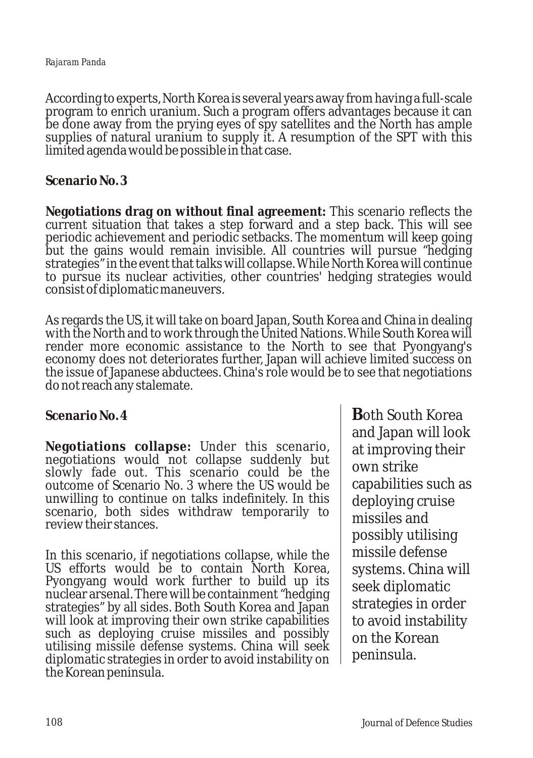#### *Rajaram Panda*

According to experts, North Korea is several years away from having a full-scale program to enrich uranium. Such a program offers advantages because it can be done away from the prying eyes of spy satellites and the North has ample supplies of natural uranium to supply it. A resumption of the SPT with this limited agenda would be possible in that case.

**Scenario No. 3**

**Negotiations drag on without final agreement:** This scenario reflects the current situation that takes a step forward and a step back. This will see periodic achievement and periodic setbacks. The momentum will keep going but the gains would remain invisible. All countries will pursue "hedging strategies" in the event that talks will collapse. While North Korea will continue to pursue its nuclear activities, other countries' hedging strategies would consist of diplomatic maneuvers.

As regards the US, it will take on board Japan, South Korea and China in dealing with the North and to work through the United Nations. While South Korea will render more economic assistance to the North to see that Pyongyang's economy does not deteriorates further, Japan will achieve limited success on the issue of Japanese abductees. China's role would be to see that negotiations do not reach any stalemate.

**Scenario No. 4**

**Negotiations collapse:** Under this scenario, negotiations would not collapse suddenly but slowly fade out. This scenario could be the outcome of Scenario No. 3 where the US would be unwilling to continue on talks indefinitely. In this scenario, both sides withdraw temporarily to review their stances.

In this scenario, if negotiations collapse, while the US efforts would be to contain North Korea, Pyongyang would work further to build up its nuclear arsenal. There will be containment "hedging strategies" by all sides. Both South Korea and Japan will look at improving their own strike capabilities such as deploying cruise missiles and possibly utilising missile defense systems. China will seek diplomatic strategies in order to avoid instability on the Korean peninsula.

**B**oth South Korea and Japan will look at improving their own strike capabilities such as deploying cruise missiles and possibly utilising missile defense systems. China will seek diplomatic strategies in order to avoid instability on the Korean peninsula.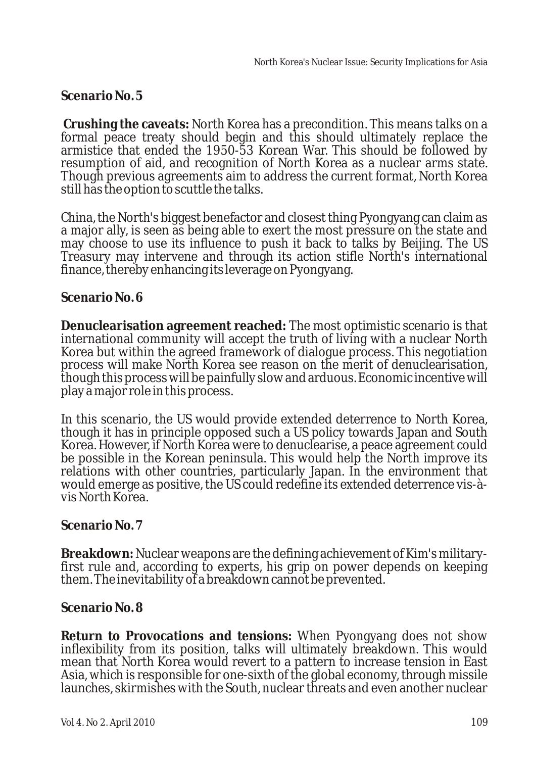**Scenario No. 5** 

**Crushing the caveats:** North Korea has a precondition. This means talks on a formal peace treaty should begin and this should ultimately replace the armistice that ended the 1950-53 Korean War. This should be followed by resumption of aid, and recognition of North Korea as a nuclear arms state. Though previous agreements aim to address the current format, North Korea still has the option to scuttle the talks.

China, the North's biggest benefactor and closest thing Pyongyang can claim as a major ally, is seen as being able to exert the most pressure on the state and may choose to use its influence to push it back to talks by Beijing. The US Treasury may intervene and through its action stifle North's international finance, thereby enhancing its leverage on Pyongyang.

### **Scenario No. 6**

**Denuclearisation agreement reached:** The most optimistic scenario is that international community will accept the truth of living with a nuclear North Korea but within the agreed framework of dialogue process. This negotiation process will make North Korea see reason on the merit of denuclearisation, though this process will be painfully slow and arduous. Economic incentive will play a major role in this process.

In this scenario, the US would provide extended deterrence to North Korea, though it has in principle opposed such a US policy towards Japan and South Korea. However, if North Korea were to denuclearise, a peace agreement could be possible in the Korean peninsula. This would help the North improve its relations with other countries, particularly Japan. In the environment that would emerge as positive, the US could redefine its extended deterrence vis-àvis North Korea.

# **Scenario No. 7**

**Breakdown:** Nuclear weapons are the defining achievement of Kim's militaryfirst rule and, according to experts, his grip on power depends on keeping them. The inevitability of a breakdown cannot be prevented.

### **Scenario No. 8**

**Return to Provocations and tensions:** When Pyongyang does not show inflexibility from its position, talks will ultimately breakdown. This would mean that North Korea would revert to a pattern to increase tension in East Asia, which is responsible for one-sixth of the global economy, through missile launches, skirmishes with the South, nuclear threats and even another nuclear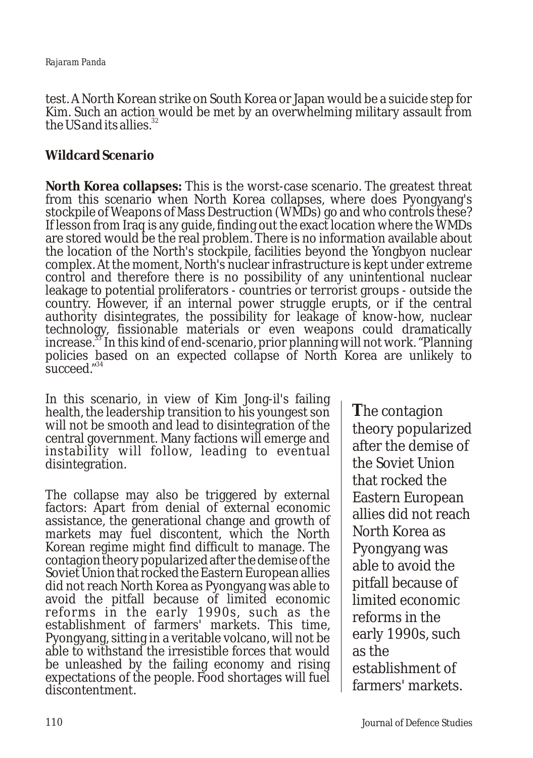test. A North Korean strike on South Korea or Japan would be a suicide step for Kim. Such an action would be met by an overwhelming military assault from the US and its allies. $3$ 

# **Wildcard Scenario**

**North Korea collapses:** This is the worst-case scenario. The greatest threat from this scenario when North Korea collapses, where does Pyongyang's stockpile of Weapons of Mass Destruction (WMDs) go and who controls these? If lesson from Iraq is any guide, finding out the exact location where the WMDs are stored would be the real problem. There is no information available about the location of the North's stockpile, facilities beyond the Yongbyon nuclear complex. At the moment, North's nuclear infrastructure is kept under extreme control and therefore there is no possibility of any unintentional nuclear leakage to potential proliferators - countries or terrorist groups - outside the country. However, if an internal power struggle erupts, or if the central authority disintegrates, the possibility for leakage of know-how, nuclear technology, fissionable materials or even weapons could dramatically increase.<sup>33</sup> In this kind of end-scenario, prior planning will not work. "Planning policies based on an expected collapse of North Korea are unlikely to succeed."<sup>34</sup>

In this scenario, in view of Kim Jong-il's failing health, the leadership transition to his youngest son will not be smooth and lead to disintegration of the central government. Many factions will emerge and instability will follow, leading to eventual disintegration.

The collapse may also be triggered by external factors: Apart from denial of external economic assistance, the generational change and growth of markets may fuel discontent, which the North Korean regime might find difficult to manage. The contagion theory popularized after the demise of the Soviet Union that rocked the Eastern European allies did not reach North Korea as Pyongyang was able to avoid the pitfall because of limited economic reforms in the early 1990s, such as the establishment of farmers' markets. This time, Pyongyang, sitting in a veritable volcano, will not be able to withstand the irresistible forces that would be unleashed by the failing economy and rising expectations of the people. Food shortages will fuel discontentment.

**T**he contagion theory popularized after the demise of the Soviet Union that rocked the Eastern European allies did not reach North Korea as Pyongyang was able to avoid the pitfall because of limited economic reforms in the early 1990s, such as the establishment of farmers' markets.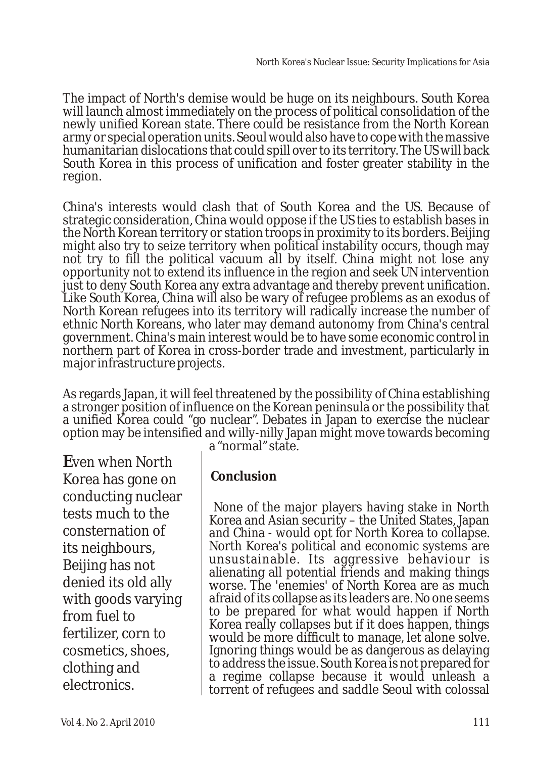The impact of North's demise would be huge on its neighbours. South Korea will launch almost immediately on the process of political consolidation of the newly unified Korean state. There could be resistance from the North Korean army or special operation units. Seoul would also have to cope with the massive humanitarian dislocations that could spill over to its territory. The US will back South Korea in this process of unification and foster greater stability in the region.

China's interests would clash that of South Korea and the US. Because of strategic consideration, China would oppose if the US ties to establish bases in the North Korean territory or station troops in proximity to its borders. Beijing might also try to seize territory when political instability occurs, though may not try to fill the political vacuum all by itself. China might not lose any opportunity not to extend its influence in the region and seek UN intervention just to deny South Korea any extra advantage and thereby prevent unification. Like South Korea, China will also be wary of refugee problems as an exodus of North Korean refugees into its territory will radically increase the number of ethnic North Koreans, who later may demand autonomy from China's central government. China's main interest would be to have some economic control in northern part of Korea in cross-border trade and investment, particularly in major infrastructure projects.

As regards Japan, it will feel threatened by the possibility of China establishing a stronger position of influence on the Korean peninsula or the possibility that a unified Korea could "go nuclear". Debates in Japan to exercise the nuclear option may be intensified and willy-nilly Japan might move towards becoming

**E**ven when North Korea has gone on conducting nuclear tests much to the consternation of its neighbours, Beijing has not denied its old ally with goods varying from fuel to fertilizer, corn to cosmetics, shoes, clothing and electronics.

a "normal" state.

# **Conclusion**

None of the major players having stake in North Korea and Asian security – the United States, Japan and China - would opt for North Korea to collapse. North Korea's political and economic systems are unsustainable. Its aggressive behaviour is alienating all potential friends and making things worse. The 'enemies' of North Korea are as much afraid of its collapse as its leaders are. No one seems to be prepared for what would happen if North Korea really collapses but if it does happen, things would be more difficult to manage, let alone solve. Ignoring things would be as dangerous as delaying to address the issue. South Korea is not prepared for a regime collapse because it would unleash a torrent of refugees and saddle Seoul with colossal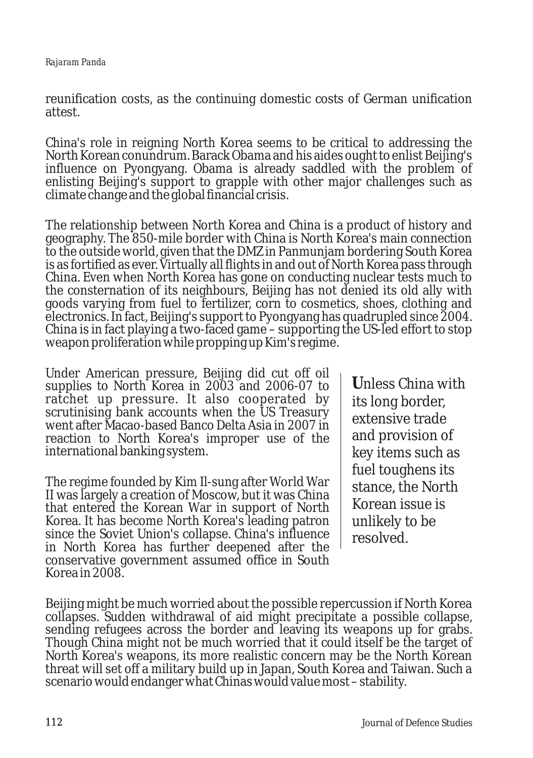reunification costs, as the continuing domestic costs of German unification attest.

China's role in reigning North Korea seems to be critical to addressing the North Korean conundrum. Barack Obama and his aides ought to enlist Beijing's influence on Pyongyang. Obama is already saddled with the problem of enlisting Beijing's support to grapple with other major challenges such as climate change and the global financial crisis.

The relationship between North Korea and China is a product of history and geography. The 850-mile border with China is North Korea's main connection to the outside world, given that the DMZ in Panmunjam bordering South Korea is as fortified as ever. Virtually all flights in and out of North Korea pass through China. Even when North Korea has gone on conducting nuclear tests much to the consternation of its neighbours, Beijing has not denied its old ally with goods varying from fuel to fertilizer, corn to cosmetics, shoes, clothing and electronics. In fact, Beijing's support to Pyongyang has quadrupled since 2004. China is in fact playing a two-faced game – supporting the US-led effort to stop weapon proliferation while propping up Kim's regime.

Under American pressure, Beijing did cut off oil supplies to North Korea in 2003 and 2006-07 to ratchet up pressure. It also cooperated by scrutinising bank accounts when the US Treasury went after Macao-based Banco Delta Asia in 2007 in reaction to North Korea's improper use of the international banking system.

The regime founded by Kim Il-sung after World War II was largely a creation of Moscow, but it was China that entered the Korean War in support of North Korea. It has become North Korea's leading patron since the Soviet Union's collapse. China's influence in North Korea has further deepened after the conservative government assumed office in South Korea in 2008.

**U**nless China with its long border, extensive trade and provision of key items such as fuel toughens its stance, the North Korean issue is unlikely to be resolved.

Beijing might be much worried about the possible repercussion if North Korea collapses. Sudden withdrawal of aid might precipitate a possible collapse, sending refugees across the border and leaving its weapons up for grabs. Though China might not be much worried that it could itself be the target of North Korea's weapons, its more realistic concern may be the North Korean threat will set off a military build up in Japan, South Korea and Taiwan. Such a scenario would endanger what Chinas would value most – stability.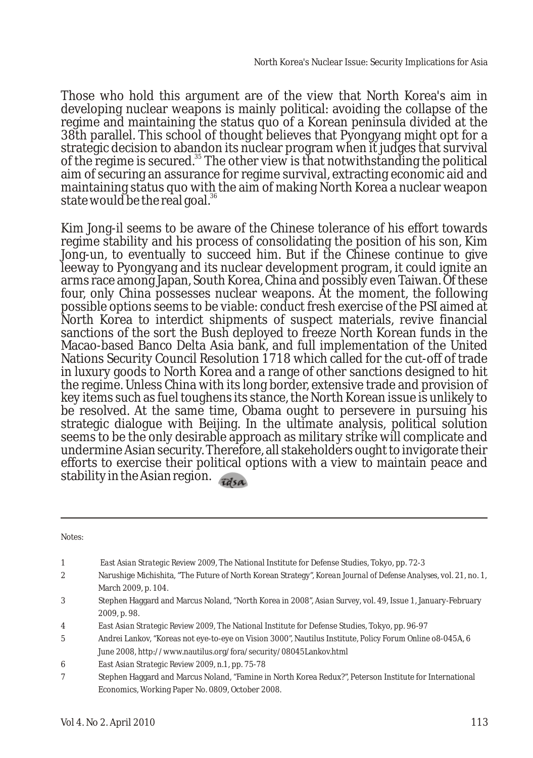Those who hold this argument are of the view that North Korea's aim in developing nuclear weapons is mainly political: avoiding the collapse of the regime and maintaining the status quo of a Korean peninsula divided at the 38th parallel. This school of thought believes that Pyongyang might opt for a strategic decision to abandon its nuclear program when it judges that survival of the regime is secured.<sup>35</sup> The other view is that notwithstanding the political aim of securing an assurance for regime survival, extracting economic aid and maintaining status quo with the aim of making North Korea a nuclear weapon state would be the real goal.<sup>36</sup>

Kim Jong-il seems to be aware of the Chinese tolerance of his effort towards regime stability and his process of consolidating the position of his son, Kim Jong-un, to eventually to succeed him. But if the Chinese continue to give leeway to Pyongyang and its nuclear development program, it could ignite an arms race among Japan, South Korea, China and possibly even Taiwan. Of these four, only China possesses nuclear weapons. At the moment, the following possible options seems to be viable: conduct fresh exercise of the PSI aimed at North Korea to interdict shipments of suspect materials, revive financial sanctions of the sort the Bush deployed to freeze North Korean funds in the Macao-based Banco Delta Asia bank, and full implementation of the United Nations Security Council Resolution 1718 which called for the cut-off of trade in luxury goods to North Korea and a range of other sanctions designed to hit the regime. Unless China with its long border, extensive trade and provision of key items such as fuel toughens its stance, the North Korean issue is unlikely to be resolved. At the same time, Obama ought to persevere in pursuing his strategic dialogue with Beijing. In the ultimate analysis, political solution seems to be the only desirable approach as military strike will complicate and undermine Asian security. Therefore, all stakeholders ought to invigorate their efforts to exercise their political options with a view to maintain peace and stability in the Asian region.

Notes:

| 1              | East Asian Strategic Review 2009, The National Institute for Defense Studies, Tokyo, pp. 72-3                    |
|----------------|------------------------------------------------------------------------------------------------------------------|
| $\mathbf{2}$   | Narushige Michishita, "The Future of North Korean Strategy", Korean Journal of Defense Analyses, vol. 21, no. 1, |
|                | March 2009, p. 104.                                                                                              |
| 3              | Stephen Haggard and Marcus Noland, "North Korea in 2008", Asian Survey, vol. 49, Issue 1, January-February       |
|                | 2009, p. 98.                                                                                                     |
| $\overline{4}$ | East Asian Strategic Review 2009, The National Institute for Defense Studies, Tokyo, pp. 96-97                   |
| 5              | Andrei Lankov, "Koreas not eye-to-eye on Vision 3000", Nautilus Institute, Policy Forum Online o8-045A, 6        |
|                | June 2008, http://www.nautilus.org/fora/security/08045Lankov.html                                                |
| 6              | East Asian Strategic Review 2009, n.1, pp. 75-78                                                                 |
| 7              | Stephen Haggard and Marcus Noland, "Famine in North Korea Redux?", Peterson Institute for International          |
|                | Economics. Working Paper No. 0809. October 2008.                                                                 |

Vol 4. No 2. April 2010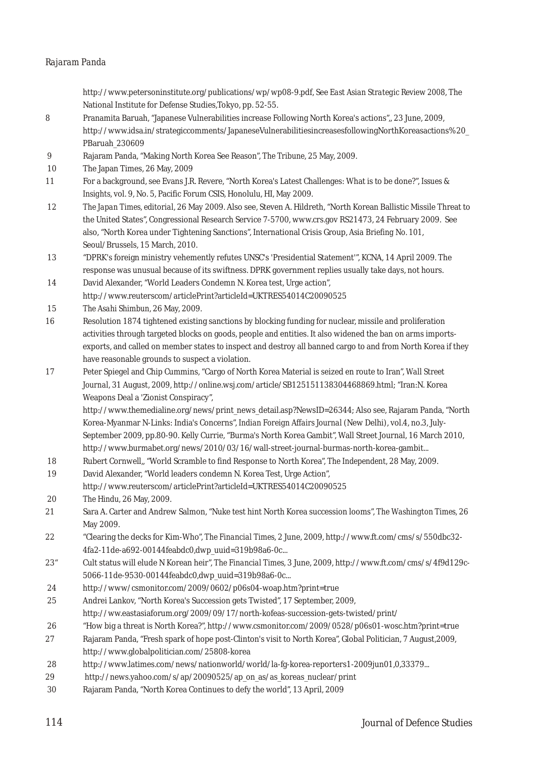#### *Rajaram Panda*

http://www.petersoninstitute.org/publications/wp/wp08-9.pdf, See *East Asian Strategic Review 2008*, The National Institute for Defense Studies,Tokyo, pp. 52-55.

- 8 Pranamita Baruah, "Japanese Vulnerabilities increase Following North Korea's actions",, 23 June, 2009, http://www.idsa.in/strategiccomments/JapaneseVulnerabilitiesincreasesfollowingNorthKoreasactions%20\_ PBaruah\_230609
- 9 Rajaram Panda, "Making North Korea See Reason", *The Tribune,* 25 May, 2009.
- 10 The Japan Times, 26 May, 2009
- 11 For a background, see Evans J.R. Revere, "North Korea's Latest Challenges: What is to be done?", *Issues & Insights*, vol. 9, No. 5, Pacific Forum CSIS, Honolulu, HI, May 2009.
- 12 *The Japan Times, editorial,* 26 May 2009. Also see, Steven A. Hildreth, "North Korean Ballistic Missile Threat to the United States", Congressional Research Service 7-5700, www.crs.gov RS21473, 24 February 2009. See also, "North Korea under Tightening Sanctions", International Crisis Group, *Asia Briefing No. 101*, Seoul/Brussels, 15 March, 2010.
- 13 "DPRK's foreign ministry vehemently refutes UNSC's 'Presidential Statement'", KCNA, 14 April 2009. The response was unusual because of its swiftness. DPRK government replies usually take days, not hours.
- 14 David Alexander, "World Leaders Condemn N. Korea test, Urge action", http://www.reuterscom/articlePrint?articleId=UKTRES54014C20090525
- 15 *The Asahi Shimbun,* 26 May, 2009.
- 16 Resolution 1874 tightened existing sanctions by blocking funding for nuclear, missile and proliferation activities through targeted blocks on goods, people and entities. It also widened the ban on arms importsexports, and called on member states to inspect and destroy all banned cargo to and from North Korea if they have reasonable grounds to suspect a violation.
- 17 Peter Spiegel and Chip Cummins, "Cargo of North Korea Material is seized en route to Iran", *Wall Street Journal,* 31 August, 2009, http://online.wsj.com/article/SB125151138304468869.html; "Iran:N. Korea Weapons Deal a 'Zionist Conspiracy",

http://www.themedialine.org/news/print\_news\_detail.asp?NewsID=26344; Also see, Rajaram Panda, "North Korea-Myanmar N-Links: India's Concerns", *Indian Foreign Affairs Journal* (New Delhi), vol.4, no.3, July-September 2009, pp.80-90. Kelly Currie, "Burma's North Korea Gambit", Wall Street Journal, 16 March 2010, http://www.burmabet.org/news/2010/03/16/wall-street-journal-burmas-north-korea-gambit...

- 18 Rubert Cornwell,, "World Scramble to find Response to North Korea", *The Independent*, 28 May, 2009.
- 19 David Alexander, "World leaders condemn N. Korea Test, Urge Action", http://www.reuterscom/articlePrint?articleId=UKTRES54014C20090525
- 20 *The Hindu,* 26 May, 2009.
- 21 Sara A. Carter and Andrew Salmon, "Nuke test hint North Korea succession looms", *The Washington Times,* 26 May 2009.
- 22 "Clearing the decks for Kim-Who", *The Financial Times*, 2 June, 2009, http://www.ft.com/cms/s/550dbc32- 4fa2-11de-a692-00144feabdc0,dwp\_uuid=319b98a6-0c...
- 23" Cult status will elude N Korean heir", *The Financial Times,* 3 June, 2009, http://www.ft.com/cms/s/4f9d129c-5066-11de-9530-00144feabdc0,dwp\_uuid=319b98a6-0c...
- 24 http://www/csmonitor.com/2009/0602/p06s04-woap.htm?print=true
- 25 Andrei Lankov, "North Korea's Succession gets Twisted", 17 September, 2009, http://ww.eastasiaforum.org/2009/09/17/north-kofeas-succession-gets-twisted/print/
- 26 "How big a threat is North Korea?", http://www.csmonitor.com/2009/0528/p06s01-wosc.htm?print=true
- 27 Rajaram Panda, "Fresh spark of hope post-Clinton's visit to North Korea", Global Politician, 7 August,2009, http://www.globalpolitician.com/25808-korea
- 28 http://www.latimes.com/news/nationworld/world/la-fg-korea-reporters1-2009jun01,0,33379...
- 29 http://news.yahoo.com/s/ap/20090525/ap\_on\_as/as\_koreas\_nuclear/print
- 30 Rajaram Panda, "North Korea Continues to defy the world", 13 April, 2009